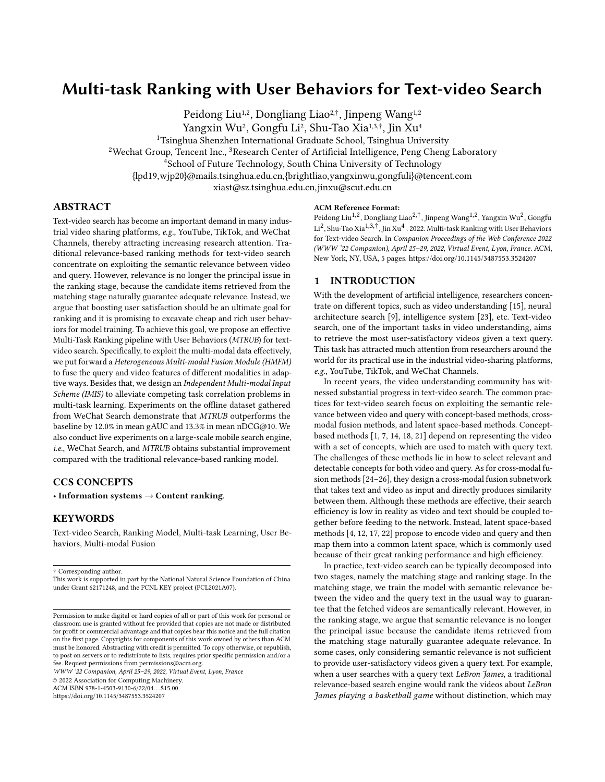# Multi-task Ranking with User Behaviors for Text-video Search

Peidong Liu<sup>1,2</sup>, Dongliang Liao<sup>2,†</sup>, Jinpeng Wang<sup>1,2</sup>

Yangxin Wu<sup>2</sup>, Gongfu Li<sup>2</sup>, Shu-Tao Xia<sup>1,3,†</sup>, Jin Xu<sup>4</sup>

<sup>1</sup>Tsinghua Shenzhen International Graduate School, Tsinghua University

<sup>2</sup>Wechat Group, Tencent Inc., <sup>3</sup>Research Center of Artificial Intelligence, Peng Cheng Laboratory

<sup>4</sup>School of Future Technology, South China University of Technology

{lpd19,wjp20}@mails.tsinghua.edu.cn,{brightliao,yangxinwu,gongfuli}@tencent.com

xiast@sz.tsinghua.edu.cn,jinxu@scut.edu.cn

# ABSTRACT

Text-video search has become an important demand in many industrial video sharing platforms, e.g., YouTube, TikTok, and WeChat Channels, thereby attracting increasing research attention. Traditional relevance-based ranking methods for text-video search concentrate on exploiting the semantic relevance between video and query. However, relevance is no longer the principal issue in the ranking stage, because the candidate items retrieved from the matching stage naturally guarantee adequate relevance. Instead, we argue that boosting user satisfaction should be an ultimate goal for ranking and it is promising to excavate cheap and rich user behaviors for model training. To achieve this goal, we propose an effective Multi-Task Ranking pipeline with User Behaviors (MTRUB) for textvideo search. Specifically, to exploit the multi-modal data effectively, we put forward a Heterogeneous Multi-modal Fusion Module (HMFM) to fuse the query and video features of different modalities in adaptive ways. Besides that, we design an Independent Multi-modal Input Scheme (IMIS) to alleviate competing task correlation problems in multi-task learning. Experiments on the offline dataset gathered from WeChat Search demonstrate that MTRUB outperforms the baseline by 12.0% in mean gAUC and 13.3% in mean nDCG@10. We also conduct live experiments on a large-scale mobile search engine, i.e., WeChat Search, and MTRUB obtains substantial improvement compared with the traditional relevance-based ranking model.

# CCS CONCEPTS

• Information systems → Content ranking.

# **KEYWORDS**

Text-video Search, Ranking Model, Multi-task Learning, User Behaviors, Multi-modal Fusion

† Corresponding author.

This work is supported in part by the National Natural Science Foundation of China under Grant 62171248, and the PCNL KEY project (PCL2021A07).

WWW '22 Companion, April 25–29, 2022, Virtual Event, Lyon, France

© 2022 Association for Computing Machinery.

ACM ISBN 978-1-4503-9130-6/22/04. . . \$15.00

<https://doi.org/10.1145/3487553.3524207>

#### ACM Reference Format:

Peidong Liu<sup>1,2</sup>, Dongliang Liao<sup>2,†</sup>, Jinpeng Wang<sup>1,2</sup>, Yangxin Wu<sup>2</sup>, Gongfu Li<sup>2</sup>, Shu-Tao Xia<sup>1,3,†</sup>, Jin Xu<sup>4</sup> . 2022. Multi-task Ranking with User Behaviors for Text-video Search. In Companion Proceedings of the Web Conference 2022 (WWW '22 Companion), April 25–29, 2022, Virtual Event, Lyon, France. ACM, New York, NY, USA, [5](#page-4-0) pages.<https://doi.org/10.1145/3487553.3524207>

## 1 INTRODUCTION

With the development of artificial intelligence, researchers concentrate on different topics, such as video understanding [\[15\]](#page-4-1), neural architecture search [\[9\]](#page-4-2), intelligence system [\[23\]](#page-4-3), etc. Text-video search, one of the important tasks in video understanding, aims to retrieve the most user-satisfactory videos given a text query. This task has attracted much attention from researchers around the world for its practical use in the industrial video-sharing platforms, e.g., YouTube, TikTok, and WeChat Channels.

In recent years, the video understanding community has witnessed substantial progress in text-video search. The common practices for text-video search focus on exploiting the semantic relevance between video and query with concept-based methods, crossmodal fusion methods, and latent space-based methods. Conceptbased methods [\[1,](#page-4-4) [7,](#page-4-5) [14,](#page-4-6) [18,](#page-4-7) [21\]](#page-4-8) depend on representing the video with a set of concepts, which are used to match with query text. The challenges of these methods lie in how to select relevant and detectable concepts for both video and query. As for cross-modal fusion methods [\[24–](#page-4-9)[26\]](#page-4-10), they design a cross-modal fusion subnetwork that takes text and video as input and directly produces similarity between them. Although these methods are effective, their search efficiency is low in reality as video and text should be coupled together before feeding to the network. Instead, latent space-based methods [\[4,](#page-4-11) [12,](#page-4-12) [17,](#page-4-13) [22\]](#page-4-14) propose to encode video and query and then map them into a common latent space, which is commonly used because of their great ranking performance and high efficiency.

In practice, text-video search can be typically decomposed into two stages, namely the matching stage and ranking stage. In the matching stage, we train the model with semantic relevance between the video and the query text in the usual way to guarantee that the fetched videos are semantically relevant. However, in the ranking stage, we argue that semantic relevance is no longer the principal issue because the candidate items retrieved from the matching stage naturally guarantee adequate relevance. In some cases, only considering semantic relevance is not sufficient to provide user-satisfactory videos given a query text. For example, when a user searches with a query text LeBron James, a traditional relevance-based search engine would rank the videos about LeBron James playing a basketball game without distinction, which may

Permission to make digital or hard copies of all or part of this work for personal or classroom use is granted without fee provided that copies are not made or distributed for profit or commercial advantage and that copies bear this notice and the full citation on the first page. Copyrights for components of this work owned by others than ACM must be honored. Abstracting with credit is permitted. To copy otherwise, or republish, to post on servers or to redistribute to lists, requires prior specific permission and/or a fee. Request permissions from permissions@acm.org.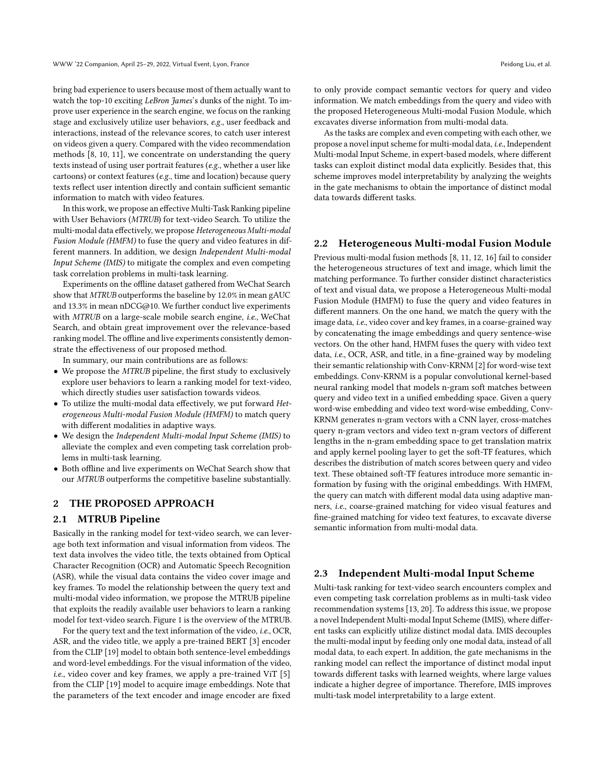bring bad experience to users because most of them actually want to watch the top-10 exciting LeBron James's dunks of the night. To improve user experience in the search engine, we focus on the ranking stage and exclusively utilize user behaviors, e.g., user feedback and interactions, instead of the relevance scores, to catch user interest on videos given a query. Compared with the video recommendation methods [\[8,](#page-4-15) [10,](#page-4-16) [11\]](#page-4-17), we concentrate on understanding the query texts instead of using user portrait features (e.g., whether a user like cartoons) or context features (e.g., time and location) because query texts reflect user intention directly and contain sufficient semantic information to match with video features.

In this work, we propose an effective Multi-Task Ranking pipeline with User Behaviors (MTRUB) for text-video Search. To utilize the multi-modal data effectively, we propose Heterogeneous Multi-modal Fusion Module (HMFM) to fuse the query and video features in different manners. In addition, we design Independent Multi-modal Input Scheme (IMIS) to mitigate the complex and even competing task correlation problems in multi-task learning.

Experiments on the offline dataset gathered from WeChat Search show that MTRUB outperforms the baseline by 12.0% in mean gAUC and 13.3% in mean nDCG@10. We further conduct live experiments with MTRUB on a large-scale mobile search engine, i.e., WeChat Search, and obtain great improvement over the relevance-based ranking model. The offline and live experiments consistently demonstrate the effectiveness of our proposed method.

In summary, our main contributions are as follows:

- We propose the MTRUB pipeline, the first study to exclusively explore user behaviors to learn a ranking model for text-video, which directly studies user satisfaction towards videos.
- To utilize the multi-modal data effectively, we put forward Heterogeneous Multi-modal Fusion Module (HMFM) to match query with different modalities in adaptive ways.
- We design the Independent Multi-modal Input Scheme (IMIS) to alleviate the complex and even competing task correlation problems in multi-task learning.
- Both offline and live experiments on WeChat Search show that our MTRUB outperforms the competitive baseline substantially.

# 2 THE PROPOSED APPROACH

## 2.1 MTRUB Pipeline

Basically in the ranking model for text-video search, we can leverage both text information and visual information from videos. The text data involves the video title, the texts obtained from Optical Character Recognition (OCR) and Automatic Speech Recognition (ASR), while the visual data contains the video cover image and key frames. To model the relationship between the query text and multi-modal video information, we propose the MTRUB pipeline that exploits the readily available user behaviors to learn a ranking model for text-video search. Figure [1](#page-2-0) is the overview of the MTRUB.

For the query text and the text information of the video, i.e., OCR, ASR, and the video title, we apply a pre-trained BERT [\[3\]](#page-4-18) encoder from the CLIP [\[19\]](#page-4-19) model to obtain both sentence-level embeddings and word-level embeddings. For the visual information of the video, i.e., video cover and key frames, we apply a pre-trained ViT [\[5\]](#page-4-20) from the CLIP [\[19\]](#page-4-19) model to acquire image embeddings. Note that the parameters of the text encoder and image encoder are fixed

to only provide compact semantic vectors for query and video information. We match embeddings from the query and video with the proposed Heterogeneous Multi-modal Fusion Module, which excavates diverse information from multi-modal data.

As the tasks are complex and even competing with each other, we propose a novel input scheme for multi-modal data, i.e., Independent Multi-modal Input Scheme, in expert-based models, where different tasks can exploit distinct modal data explicitly. Besides that, this scheme improves model interpretability by analyzing the weights in the gate mechanisms to obtain the importance of distinct modal data towards different tasks.

# 2.2 Heterogeneous Multi-modal Fusion Module

Previous multi-modal fusion methods [\[8,](#page-4-15) [11,](#page-4-17) [12,](#page-4-12) [16\]](#page-4-21) fail to consider the heterogeneous structures of text and image, which limit the matching performance. To further consider distinct characteristics of text and visual data, we propose a Heterogeneous Multi-modal Fusion Module (HMFM) to fuse the query and video features in different manners. On the one hand, we match the query with the image data, i.e., video cover and key frames, in a coarse-grained way by concatenating the image embeddings and query sentence-wise vectors. On the other hand, HMFM fuses the query with video text data, i.e., OCR, ASR, and title, in a fine-grained way by modeling their semantic relationship with Conv-KRNM [\[2\]](#page-4-22) for word-wise text embeddings. Conv-KRNM is a popular convolutional kernel-based neural ranking model that models n-gram soft matches between query and video text in a unified embedding space. Given a query word-wise embedding and video text word-wise embedding, Conv-KRNM generates n-gram vectors with a CNN layer, cross-matches query n-gram vectors and video text n-gram vectors of different lengths in the n-gram embedding space to get translation matrix and apply kernel pooling layer to get the soft-TF features, which describes the distribution of match scores between query and video text. These obtained soft-TF features introduce more semantic information by fusing with the original embeddings. With HMFM, the query can match with different modal data using adaptive manners, i.e., coarse-grained matching for video visual features and fine-grained matching for video text features, to excavate diverse semantic information from multi-modal data.

#### 2.3 Independent Multi-modal Input Scheme

Multi-task ranking for text-video search encounters complex and even competing task correlation problems as in multi-task video recommendation systems [\[13,](#page-4-23) [20\]](#page-4-24). To address this issue, we propose a novel Independent Multi-modal Input Scheme (IMIS), where different tasks can explicitly utilize distinct modal data. IMIS decouples the multi-modal input by feeding only one modal data, instead of all modal data, to each expert. In addition, the gate mechanisms in the ranking model can reflect the importance of distinct modal input towards different tasks with learned weights, where large values indicate a higher degree of importance. Therefore, IMIS improves multi-task model interpretability to a large extent.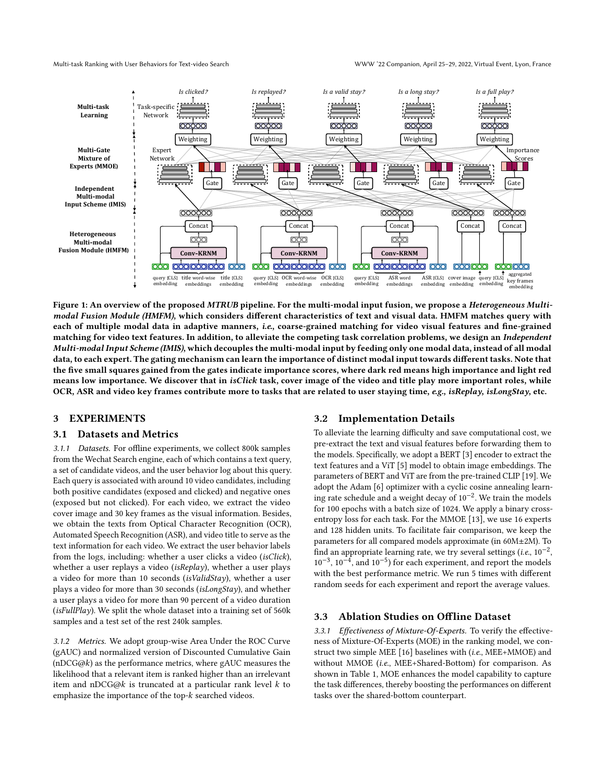Multi-task Ranking with User Behaviors for Text-video Search WWW '22 Companion, April 25–29, 2022, Virtual Event, Lyon, France

<span id="page-2-0"></span>

Figure 1: An overview of the proposed MTRUB pipeline. For the multi-modal input fusion, we propose a Heterogeneous Multimodal Fusion Module (HMFM), which considers different characteristics of text and visual data. HMFM matches query with each of multiple modal data in adaptive manners, i.e., coarse-grained matching for video visual features and fine-grained matching for video text features. In addition, to alleviate the competing task correlation problems, we design an Independent Multi-modal Input Scheme (IMIS), which decouples the multi-modal input by feeding only one modal data, instead of all modal data, to each expert. The gating mechanism can learn the importance of distinct modal input towards different tasks. Note that the five small squares gained from the gates indicate importance scores, where dark red means high importance and light red means low importance. We discover that in isClick task, cover image of the video and title play more important roles, while OCR, ASR and video key frames contribute more to tasks that are related to user staying time, e.g., isReplay, isLongStay, etc.

### 3 EXPERIMENTS

#### 3.1 Datasets and Metrics

3.1.1 Datasets. For offline experiments, we collect 800k samples from the Wechat Search engine, each of which contains a text query, a set of candidate videos, and the user behavior log about this query. Each query is associated with around 10 video candidates, including both positive candidates (exposed and clicked) and negative ones (exposed but not clicked). For each video, we extract the video cover image and 30 key frames as the visual information. Besides, we obtain the texts from Optical Character Recognition (OCR), Automated Speech Recognition (ASR), and video title to serve as the text information for each video. We extract the user behavior labels from the logs, including: whether a user clicks a video (isClick), whether a user replays a video (*isReplay*), whether a user plays a video for more than 10 seconds (isValidStay), whether a user plays a video for more than 30 seconds (isLongStay), and whether a user plays a video for more than 90 percent of a video duration (isFullPlay). We split the whole dataset into a training set of  $560k$ samples and a test set of the rest 240k samples.

3.1.2 Metrics. We adopt group-wise Area Under the ROC Curve (gAUC) and normalized version of Discounted Cumulative Gain ( $nDCG@k$ ) as the performance metrics, where gAUC measures the likelihood that a relevant item is ranked higher than an irrelevant item and nDCG@ $k$  is truncated at a particular rank level  $k$  to emphasize the importance of the top- $k$  searched videos.

#### 3.2 Implementation Details

To alleviate the learning difficulty and save computational cost, we pre-extract the text and visual features before forwarding them to the models. Specifically, we adopt a BERT [\[3\]](#page-4-18) encoder to extract the text features and a ViT [\[5\]](#page-4-20) model to obtain image embeddings. The parameters of BERT and ViT are from the pre-trained CLIP [\[19\]](#page-4-19). We adopt the Adam [\[6\]](#page-4-25) optimizer with a cyclic cosine annealing learning rate schedule and a weight decay of 10−<sup>2</sup> . We train the models for 100 epochs with a batch size of 1024. We apply a binary crossentropy loss for each task. For the MMOE [\[13\]](#page-4-23), we use 16 experts and 128 hidden units. To facilitate fair comparison, we keep the parameters for all compared models approximate (in 60M±2M). To find an appropriate learning rate, we try several settings (i.e.,  $10^{-2}$ ,  $10^{-3}$ ,  $10^{-4}$ , and  $10^{-5}$ ) for each experiment, and report the models with the best performance metric. We run 5 times with different random seeds for each experiment and report the average values.

# 3.3 Ablation Studies on Offline Dataset

3.3.1 Effectiveness of Mixture-Of-Experts. To verify the effectiveness of Mixture-Of-Experts (MOE) in the ranking model, we construct two simple MEE [\[16\]](#page-4-21) baselines with (i.e., MEE+MMOE) and without MMOE (i.e., MEE+Shared-Bottom) for comparison. As shown in Table [1,](#page-3-0) MOE enhances the model capability to capture the task differences, thereby boosting the performances on different tasks over the shared-bottom counterpart.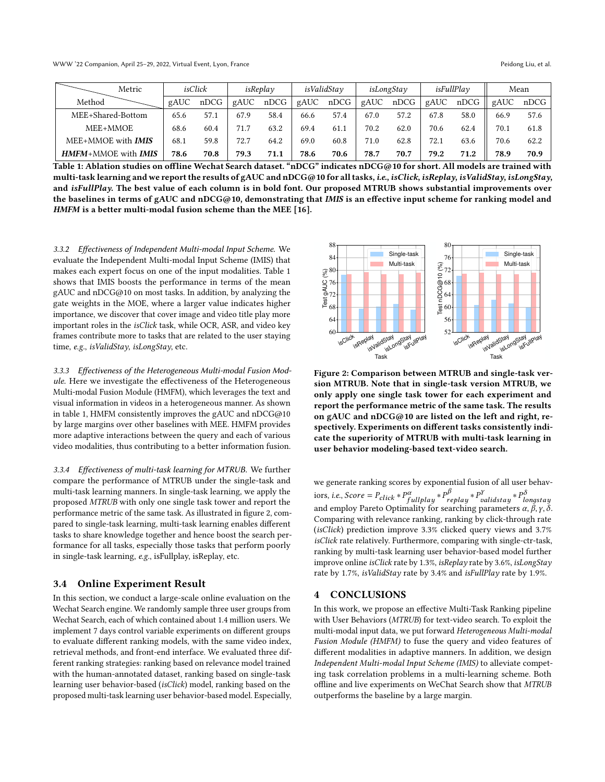<span id="page-3-0"></span>

| Metric              | isClick |      | isReplay |      | isValidStav |      | isLongStay |      | isFullPlay |      | Mean |      |
|---------------------|---------|------|----------|------|-------------|------|------------|------|------------|------|------|------|
| Method              | gAUC    | nDCG | gAUC     | nDCG | gAUC        | nDCG | gAUC       | nDCG | gAUC       | nDCG | gAUC | nDCG |
| MEE+Shared-Bottom   | 65.6    | 57.1 | 67.9     | 58.4 | 66.6        | 57.4 | 67.0       | 57.2 | 67.8       | 58.0 | 66.9 | 57.6 |
| MEE+MMOE            | 68.6    | 60.4 | 71.7     | 63.2 | 69.4        | 61.1 | 70.2       | 62.0 | 70.6       | 62.4 | 70.1 | 61.8 |
| MEE+MMOE with IMIS  | 68.1    | 59.8 | 72.7     | 64.2 | 69.0        | 60.8 | 71.0       | 62.8 | 72.1       | 63.6 | 70.6 | 62.2 |
| HMFM+MMOE with IMIS | 78.6    | 70.8 | 79.3     | 71.1 | 78.6        | 70.6 | 78.7       | 70.7 | 79.2       | 71.2 | 78.9 | 70.9 |

Table 1: Ablation studies on offline Wechat Search dataset. "nDCG" indicates nDCG@10 for short. All models are trained with multi-task learning and we report the results of gAUC and nDCG@10 for all tasks, i.e., isClick, isReplay, isValidStay, isLongStay, and isFullPlay. The best value of each column is in bold font. Our proposed MTRUB shows substantial improvements over the baselines in terms of gAUC and nDCG@10, demonstrating that IMIS is an effective input scheme for ranking model and HMFM is a better multi-modal fusion scheme than the MEE [\[16\]](#page-4-21).

3.3.2 Effectiveness of Independent Multi-modal Input Scheme. We evaluate the Independent Multi-modal Input Scheme (IMIS) that makes each expert focus on one of the input modalities. Table [1](#page-3-0) shows that IMIS boosts the performance in terms of the mean gAUC and nDCG@10 on most tasks. In addition, by analyzing the gate weights in the MOE, where a larger value indicates higher importance, we discover that cover image and video title play more important roles in the isClick task, while OCR, ASR, and video key frames contribute more to tasks that are related to the user staying time, e.g., isValidStay, isLongStay, etc.

3.3.3 Effectiveness of the Heterogeneous Multi-modal Fusion Module. Here we investigate the effectiveness of the Heterogeneous Multi-modal Fusion Module (HMFM), which leverages the text and visual information in videos in a heterogeneous manner. As shown in table [1,](#page-3-0) HMFM consistently improves the gAUC and nDCG@10 by large margins over other baselines with MEE. HMFM provides more adaptive interactions between the query and each of various video modalities, thus contributing to a better information fusion.

3.3.4 Effectiveness of multi-task learning for MTRUB. We further compare the performance of MTRUB under the single-task and multi-task learning manners. In single-task learning, we apply the proposed MTRUB with only one single task tower and report the performance metric of the same task. As illustrated in figure [2,](#page-3-1) compared to single-task learning, multi-task learning enables different tasks to share knowledge together and hence boost the search performance for all tasks, especially those tasks that perform poorly in single-task learning, e.g., isFullplay, isReplay, etc.

#### 3.4 Online Experiment Result

In this section, we conduct a large-scale online evaluation on the Wechat Search engine. We randomly sample three user groups from Wechat Search, each of which contained about 1.4 million users. We implement 7 days control variable experiments on different groups to evaluate different ranking models, with the same video index, retrieval methods, and front-end interface. We evaluated three different ranking strategies: ranking based on relevance model trained with the human-annotated dataset, ranking based on single-task learning user behavior-based (isClick) model, ranking based on the proposed multi-task learning user behavior-based model. Especially,

<span id="page-3-1"></span>

Figure 2: Comparison between MTRUB and single-task version MTRUB. Note that in single-task version MTRUB, we only apply one single task tower for each experiment and report the performance metric of the same task. The results on gAUC and nDCG@10 are listed on the left and right, respectively. Experiments on different tasks consistently indicate the superiority of MTRUB with multi-task learning in user behavior modeling-based text-video search.

we generate ranking scores by exponential fusion of all user behaviors, i.e., Score =  $P_{click} * P_{full$ play  $* P_{reblay}^{\beta} * P_{valid}^{\gamma} * P_{lonastav}^{\delta}$ and employ Pareto Optimality for searching parameters  $\alpha$ ,  $\beta$ ,  $\gamma$ ,  $\delta$ . Comparing with relevance ranking, ranking by click-through rate (isClick) prediction improve 3.3% clicked query views and 3.7% isClick rate relatively. Furthermore, comparing with single-ctr-task, ranking by multi-task learning user behavior-based model further improve online isClick rate by 1.3%, isReplay rate by 3.6%, isLongStay rate by 1.7%, is ValidStay rate by 3.4% and is FullPlay rate by 1.9%.

#### 4 CONCLUSIONS

In this work, we propose an effective Multi-Task Ranking pipeline with User Behaviors (MTRUB) for text-video search. To exploit the multi-modal input data, we put forward Heterogeneous Multi-modal Fusion Module (HMFM) to fuse the query and video features of different modalities in adaptive manners. In addition, we design Independent Multi-modal Input Scheme (IMIS) to alleviate competing task correlation problems in a multi-learning scheme. Both offline and live experiments on WeChat Search show that MTRUB outperforms the baseline by a large margin.